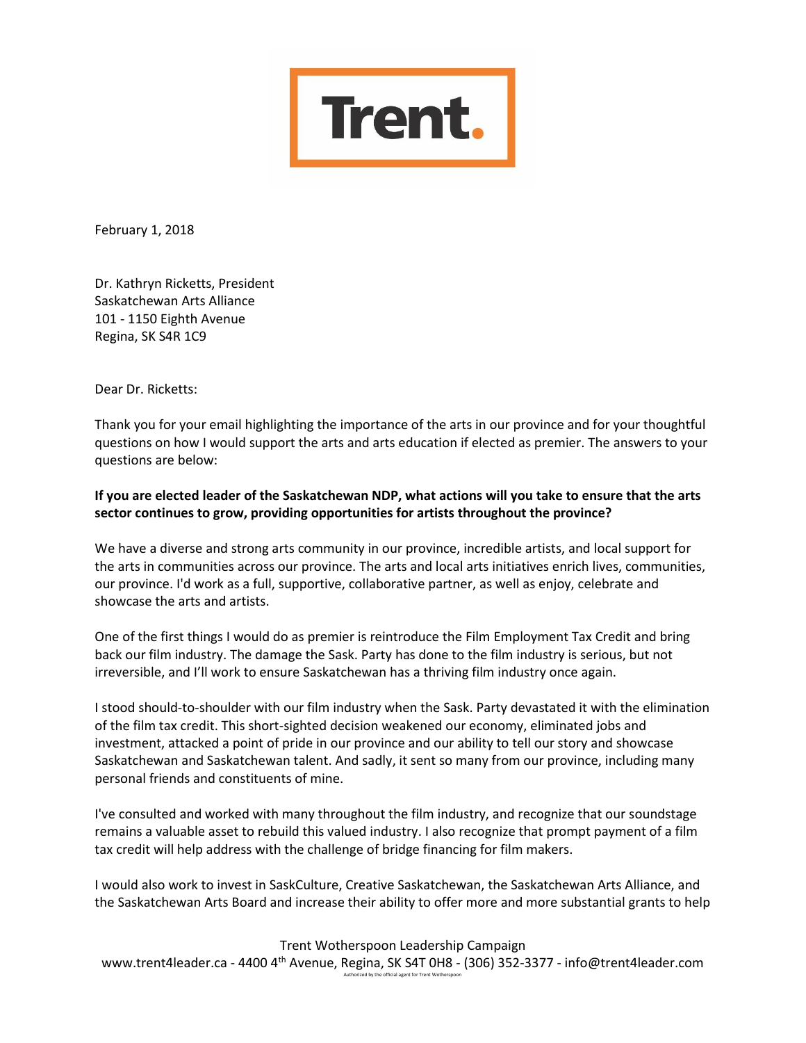

February 1, 2018

Dr. Kathryn Ricketts, President Saskatchewan Arts Alliance 101 - 1150 Eighth Avenue Regina, SK S4R 1C9

Dear Dr. Ricketts:

Thank you for your email highlighting the importance of the arts in our province and for your thoughtful questions on how I would support the arts and arts education if elected as premier. The answers to your questions are below:

## **If you are elected leader of the Saskatchewan NDP, what actions will you take to ensure that the arts sector continues to grow, providing opportunities for artists throughout the province?**

We have a diverse and strong arts community in our province, incredible artists, and local support for the arts in communities across our province. The arts and local arts initiatives enrich lives, communities, our province. I'd work as a full, supportive, collaborative partner, as well as enjoy, celebrate and showcase the arts and artists.

One of the first things I would do as premier is reintroduce the Film Employment Tax Credit and bring back our film industry. The damage the Sask. Party has done to the film industry is serious, but not irreversible, and I'll work to ensure Saskatchewan has a thriving film industry once again.

I stood should-to-shoulder with our film industry when the Sask. Party devastated it with the elimination of the film tax credit. This short-sighted decision weakened our economy, eliminated jobs and investment, attacked a point of pride in our province and our ability to tell our story and showcase Saskatchewan and Saskatchewan talent. And sadly, it sent so many from our province, including many personal friends and constituents of mine.

I've consulted and worked with many throughout the film industry, and recognize that our soundstage remains a valuable asset to rebuild this valued industry. I also recognize that prompt payment of a film tax credit will help address with the challenge of bridge financing for film makers.

I would also work to invest in SaskCulture, Creative Saskatchewan, the Saskatchewan Arts Alliance, and the Saskatchewan Arts Board and increase their ability to offer more and more substantial grants to help

Trent Wotherspoon Leadership Campaign

www.trent4leader.ca - 4400 4th Avenue, Regina, SK S4T 0H8 - (306) 352-3377 - info@trent4leader.com Authorized by the official agent for Trent Wotherspoon